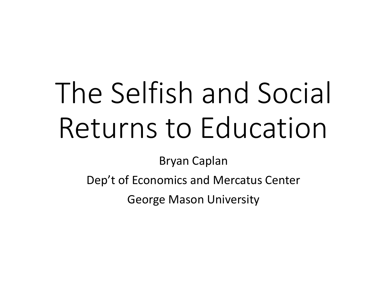# The Selfish and Social Returns to Education

Bryan Caplan

Dep't of Economics and Mercatus Center

George Mason University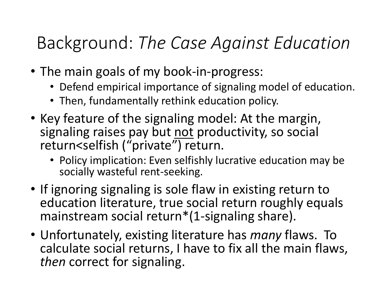#### Background: *The Case Against Education*

- The main goals of my book-in-progress:
	- Defend empirical importance of signaling model of education.
	- Then, fundamentally rethink education policy.
- Key feature of the signaling model: At the margin, signaling raises pay but not productivity, so social return<selfish ("private") return.
	- Policy implication: Even selfishly lucrative education may be socially wasteful rent-seeking.
- If ignoring signaling is sole flaw in existing return to education literature, true social return roughly equals mainstream social return\*(1-signaling share).
- Unfortunately, existing literature has *many* flaws. To calculate social returns, I have to fix all the main flaws, *then* correct for signaling.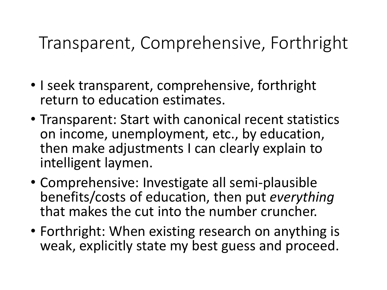#### Transparent, Comprehensive, Forthright

- I seek transparent, comprehensive, forthright return to education estimates.
- Transparent: Start with canonical recent statistics on income, unemployment, etc., by education, then make adjustments I can clearly explain to intelligent laymen.
- Comprehensive: Investigate all semi-plausible benefits/costs of education, then put *everything* that makes the cut into the number cruncher.
- Forthright: When existing research on anything is weak, explicitly state my best guess and proceed.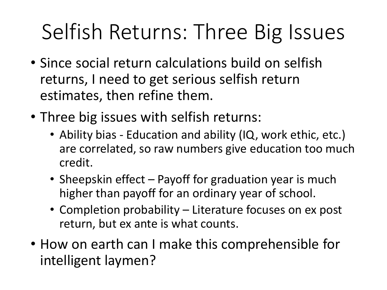# Selfish Returns: Three Big Issues

- Since social return calculations build on selfish returns, I need to get serious selfish return estimates, then refine them.
- Three big issues with selfish returns:
	- Ability bias Education and ability (IQ, work ethic, etc.) are correlated, so raw numbers give education too much credit.
	- Sheepskin effect Payoff for graduation year is much higher than payoff for an ordinary year of school.
	- Completion probability Literature focuses on ex post return, but ex ante is what counts.
- How on earth can I make this comprehensible for intelligent laymen?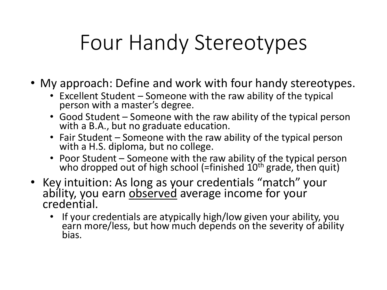## Four Handy Stereotypes

- My approach: Define and work with four handy stereotypes.
	- Excellent Student Someone with the raw ability of the typical person with a master's degree.
	- Good Student Someone with the raw ability of the typical person with a B.A., but no graduate education.
	- Fair Student Someone with the raw ability of the typical person with a H.S. diploma, but no college.
	- Poor Student Someone with the raw ability of the typical person who dropped out of high school (=finished  $10<sup>th</sup>$  grade, then quit)
- Key intuition: As long as your credentials "match" your ability, you earn observed average income for your credential.
	- If your credentials are atypically high/low given your ability, you earn more/less, but how much depends on the severity of ability bias.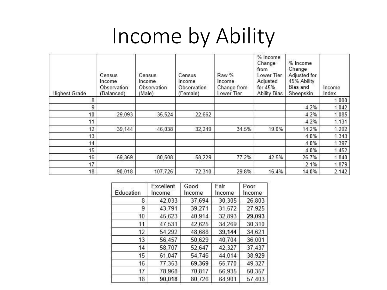# Income by Ability

| <b>Highest Grade</b> | Census<br>Income<br>Observation<br>(Balanced) | Census<br>Income<br>Observation<br>(Male) | Census<br>Income<br>Observation<br>(Female) | Raw %<br>Income<br>Change from<br>Lower Tier | % Income<br>Change<br>from<br>Lower Tier<br>Adjusted<br>for 45%<br><b>Ability Bias</b> | % Income<br>Change<br>Adjusted for<br>45% Ability<br><b>Bias and</b><br>Sheepskin | Income<br>Index |
|----------------------|-----------------------------------------------|-------------------------------------------|---------------------------------------------|----------------------------------------------|----------------------------------------------------------------------------------------|-----------------------------------------------------------------------------------|-----------------|
| 8                    |                                               |                                           |                                             |                                              |                                                                                        |                                                                                   | 1.000           |
| 9                    |                                               |                                           |                                             |                                              |                                                                                        | 4.2%                                                                              | 1.042           |
| 10                   | 29.093                                        | 35,524                                    | 22.662                                      |                                              |                                                                                        | 4.2%                                                                              | 1.085           |
| 11                   |                                               |                                           |                                             |                                              |                                                                                        | 4.2%                                                                              | 1.131           |
| 12                   | 39,144                                        | 46,038                                    | 32,249                                      | 34.5%                                        | 19.0%                                                                                  | 14.2%                                                                             | 1.292           |
| 13                   |                                               |                                           |                                             |                                              |                                                                                        | 4.0%                                                                              | 1.343           |
| 14                   |                                               |                                           |                                             |                                              |                                                                                        | 4.0%                                                                              | 1.397           |
| 15                   |                                               |                                           |                                             |                                              |                                                                                        | 4.0%                                                                              | 1.452           |
| 16                   | 69,369                                        | 80,508                                    | 58,229                                      | 77.2%                                        | 42.5%                                                                                  | 26.7%                                                                             | 1.840           |
| 17                   |                                               |                                           |                                             |                                              |                                                                                        | 2.1%                                                                              | 1.879           |
| 18                   | 90.018                                        | 107,726                                   | 72,310                                      | 29.8%                                        | 16.4%                                                                                  | 14.0%                                                                             | 2.142           |

| Education | Excellent<br>Income | Good<br>Income | Fair<br>Income | Poor<br>Income |  |
|-----------|---------------------|----------------|----------------|----------------|--|
| 8         | 42,033              | 37,694         | 30,305         | 26,803         |  |
| 9         | 43,791              | 39,271         | 31,572         | 27,925         |  |
| 10        | 45,623              | 40,914         | 32,893         | 29,093         |  |
| 11        | 47,531              | 42,625         | 34,269         | 30,310         |  |
| 12        | 54,292              | 48,688         | 39,144         | 34,621         |  |
| 13        | 56,457              | 50,629         | 40,704         | 36,001         |  |
| 14        | 58,707              | 52,647         | 42,327         | 37,437         |  |
| 15        | 61.047              | 54,746         | 44,014         | 38,929         |  |
| 16        | 77,353              | 69,369         | 55,770         | 49,327         |  |
| 17        | 78,968              | 70,817         | 56,935         | 50,357         |  |
| 18        | 90,018              | 80,726         | 64,901         | 57,403         |  |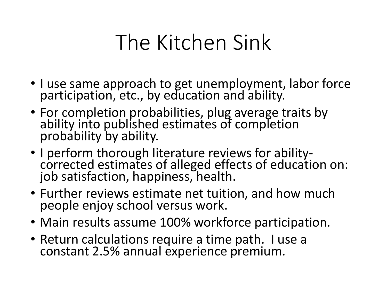# The Kitchen Sink

- I use same approach to get unemployment, labor force participation, etc., by education and ability.
- For completion probabilities, plug average traits by ability into published estimates of completion probability by ability.
- I perform thorough literature reviews for abilitycorrected estimates of alleged effects of education on: job satisfaction, happiness, health.
- Further reviews estimate net tuition, and how much people enjoy school versus work.
- Main results assume 100% workforce participation.
- Return calculations require a time path. I use a constant 2.5% annual experience premium.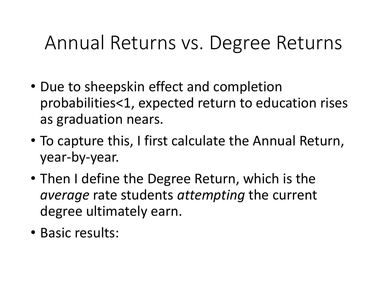#### Annual Returns vs. Degree Returns

- Due to sheepskin effect and completion probabilities<1, expected return to education rises as graduation nears.
- To capture this, I first calculate the Annual Return, year-by-year.
- Then I define the Degree Return, which is the *average* rate students *attempting* the current degree ultimately earn.
- Basic results: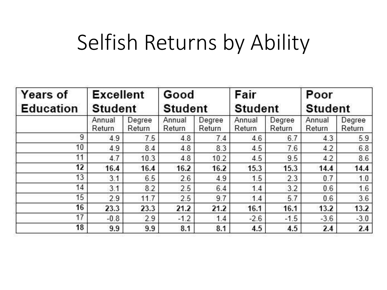## Selfish Returns by Ability

| <b>Years of</b>  | <b>Excellent</b><br><b>Student</b> |                  | Good<br><b>Student</b> |                  | Fair<br><b>Student</b> |                  | Poor<br><b>Student</b> |                  |
|------------------|------------------------------------|------------------|------------------------|------------------|------------------------|------------------|------------------------|------------------|
| <b>Education</b> |                                    |                  |                        |                  |                        |                  |                        |                  |
|                  | Annual<br>Return                   | Degree<br>Return | Annual<br>Return       | Degree<br>Return | Annual<br>Return       | Degree<br>Return | Annual<br>Return       | Degree<br>Return |
| 9                | 4.9                                | 7.5              | 4.8                    | 7.4              | 4.6                    | 6.7              | 4.3                    | 5.9              |
| 10               | 4.9                                | 8.4              | 4.8                    | 8.3              | 4.5                    | 7.6              | 4.2                    | 6.8              |
| 11               | 4.7                                | 10.3             | 4.8                    | 10.2             | 4.5                    | 9.5              | 4.2                    | 8.6              |
| 12               | 16.4                               | 16.4             | 16.2                   | 16.2             | 15.3                   | 15.3             | 14.4                   | 14.4             |
| 13               | 3.1                                | 6.5              | 2.6                    | 4.9              | 1.5                    | 2.3              | 0.7                    | 1.0              |
| 14               | 3.1                                | 8.2              | 2.5                    | 6.4              | 1.4                    | 3.2              | 0.6                    | 1.6              |
| 15               | 2.9                                | 11.7             | 2.5                    | 9.7              | 1.4                    | 5.7              | 0.6                    | 3.6              |
| 16               | 23.3                               | 23.3             | 21.2                   | 21.2             | 16.1                   | 16.1             | 13.2                   | 13.2             |
| 17               | $-0.8$                             | 2.9              | $-1.2$                 | 1.4              | $-2.6$                 | $-1.5$           | $-3.6$                 | $-3.0$           |
| 18               | 9.9                                | 9.9              | 8.1                    | 8.1              | 4.5                    | 4.5              | 2.4                    | 2.4              |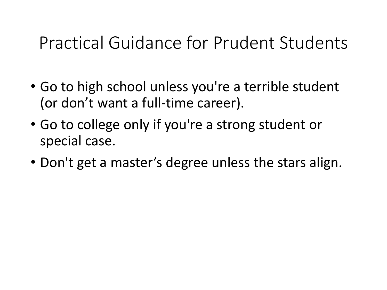#### Practical Guidance for Prudent Students

- Go to high school unless you're a terrible student (or don't want a full-time career).
- Go to college only if you're a strong student or special case.
- Don't get a master's degree unless the stars align.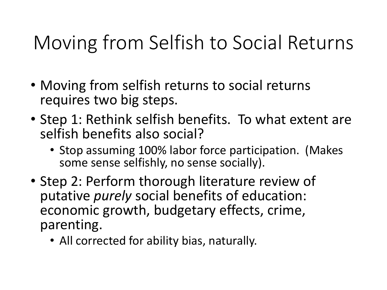### Moving from Selfish to Social Returns

- Moving from selfish returns to social returns requires two big steps.
- Step 1: Rethink selfish benefits. To what extent are selfish benefits also social?
	- Stop assuming 100% labor force participation. (Makes some sense selfishly, no sense socially).
- Step 2: Perform thorough literature review of putative *purely* social benefits of education: economic growth, budgetary effects, crime, parenting.
	- All corrected for ability bias, naturally.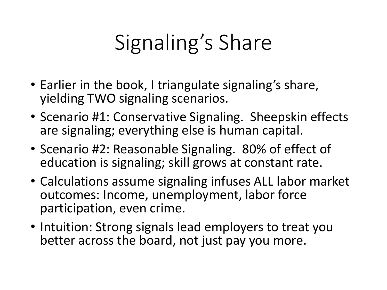# Signaling's Share

- Earlier in the book, I triangulate signaling's share, yielding TWO signaling scenarios.
- Scenario #1: Conservative Signaling. Sheepskin effects are signaling; everything else is human capital.
- Scenario #2: Reasonable Signaling. 80% of effect of education is signaling; skill grows at constant rate.
- Calculations assume signaling infuses ALL labor market outcomes: Income, unemployment, labor force participation, even crime.
- Intuition: Strong signals lead employers to treat you better across the board, not just pay you more.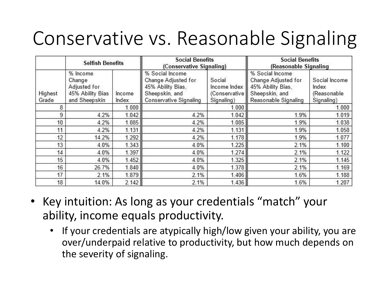### Conservative vs. Reasonable Signaling

| <b>Selfish Benefits</b> |                                                                         |                 | <b>Social Benefits</b><br>(Conservative Signaling)                                                      |                                                         | <b>Social Benefits</b><br>(Reasonable Signaling                                                       |                                                     |  |
|-------------------------|-------------------------------------------------------------------------|-----------------|---------------------------------------------------------------------------------------------------------|---------------------------------------------------------|-------------------------------------------------------------------------------------------------------|-----------------------------------------------------|--|
| Highest<br>Grade        | % Income<br>Change<br>Adjusted for<br>45% Ability Bias<br>and Sheepskin | Income<br>Index | % Social Income<br>Change Adjusted for<br>45% Ability Bias,<br>Sheepskin, and<br>Conservative Signaling | Social<br>Income Index  <br>(Conservative<br>Signaling) | % Social Income<br>Change Adjusted for<br>45% Ability Bias.<br>Sheepskin, and<br>Reasonable Signaling | Social Income<br>Index<br>(Reasonable<br>Signaling) |  |
| 8                       |                                                                         | 1.000           |                                                                                                         | 1.000                                                   |                                                                                                       | 1.000                                               |  |
| 9                       | 4.2%                                                                    | 1.042           | 4.2%                                                                                                    | 1.042                                                   | 1.9%                                                                                                  | 1.019                                               |  |
| 10                      | 4.2%                                                                    | 1.085           | 4.2%                                                                                                    | 1.085                                                   | 1.9%                                                                                                  | 1.038                                               |  |
| 11                      | 4.2%                                                                    | 1.131           | 4.2%                                                                                                    | 1.131                                                   | 1.9%                                                                                                  | 1.058                                               |  |
| 12                      | 14.2%                                                                   | 1.292           | 4.2%                                                                                                    | 1.178                                                   | 1.9%                                                                                                  | 1.077                                               |  |
| 13                      | 4.0%                                                                    | 1.343           | 4.0%                                                                                                    | 1.225                                                   | 2.1%                                                                                                  | 1.100                                               |  |
| 14                      | 4.0%                                                                    | 1.397           | 4.0%                                                                                                    | 1.274                                                   | 2.1%                                                                                                  | 1.122                                               |  |
| 15                      | 4.0%                                                                    | 1.452           | 4.0%                                                                                                    | 1.325                                                   | 2.1%                                                                                                  | 1.145                                               |  |
| 16                      | 26.7%                                                                   | 1.840           | 4.0%                                                                                                    | 1.378                                                   | 2.1%                                                                                                  | 1.169                                               |  |
| 17                      | 2.1%                                                                    | 1.879           | 2.1%                                                                                                    | 1.406                                                   | 1.6%                                                                                                  | 1.188                                               |  |
| 18                      | 14.0%                                                                   | 2.142           | 2.1%                                                                                                    | 1.436                                                   | 1.6%                                                                                                  | 1.207                                               |  |

- Key intuition: As long as your credentials "match" your ability, income equals productivity.
	- If your credentials are atypically high/low given your ability, you are over/underpaid relative to productivity, but how much depends on the severity of signaling.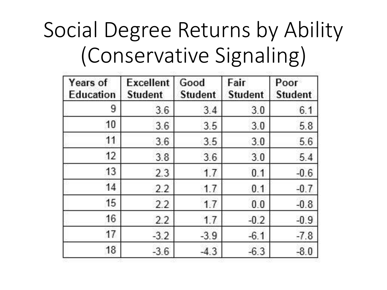# Social Degree Returns by Ability (Conservative Signaling)

| Years of<br>Education | <b>Excellent</b><br><b>Student</b> | Good<br><b>Student</b> | Fair<br><b>Student</b> | Poor<br><b>Student</b> |  |
|-----------------------|------------------------------------|------------------------|------------------------|------------------------|--|
| 9                     | 3.6                                | 3.4                    | 3.0                    | 6.1                    |  |
| 10                    | 3.6                                | 3.5                    | 3.0                    | 5.8                    |  |
| 11                    | 3.6                                | 3.5                    | 3.0                    | 5.6                    |  |
| 12                    | 3.8                                | 3.6                    | 3.0                    | 5.4                    |  |
| 13                    | 2.3                                | 1.7                    | 0.1                    | $-0.6$                 |  |
| 14                    | 2.2                                | 1.7                    | 0.1                    | $-0.7$                 |  |
| 15                    | 2.2                                | 1.7                    | 0.0                    | $-0.8$                 |  |
| 16                    | 2.2                                | 1.7                    | $-0.2$                 | $-0.9$                 |  |
| 17                    | $-3.2$                             | $-3.9$                 | $-6.1$                 | $-7.8$                 |  |
| 18                    | $-3.6$                             | $-4.3$                 | $-6.3$                 | $-8.0$                 |  |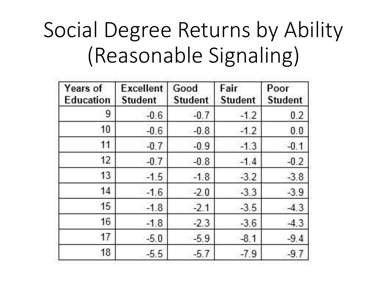# Social Degree Returns by Ability (Reasonable Signaling)

| Years of<br>Education | <b>Excellent</b><br><b>Student</b> | Good<br><b>Student</b> | Fair<br><b>Student</b> | Poor<br><b>Student</b> |  |
|-----------------------|------------------------------------|------------------------|------------------------|------------------------|--|
| 9                     | $-0.6$                             | $-0.7$                 | $-1.2$                 | 0.2                    |  |
| 10                    | $-0.6$                             | $-0.8$                 | $-1.2$                 | 0.0                    |  |
| 11                    | $-0.7$                             | $-0.9$                 | $-1.3$                 | $-0.1$                 |  |
| 12                    | $-0.7$                             | $-0.8$                 | $-1.4$                 | $-0.2$                 |  |
| 13                    | $-1.5$                             | $-1.8$                 | $-3.2$                 | $-3.8$                 |  |
| 14                    | $-1.6$                             | $-2.0$                 | $-3.3$                 | $-3.9$                 |  |
| 15                    | $-1.8$                             | $-2.1$                 | $-3.5$                 | $-4.3$                 |  |
| 16                    | $-1.8$                             | $-2.3$                 | $-3.6$                 | $-4.3$                 |  |
| 17                    | $-5.0$                             | $-5.9$                 | $-8.1$                 | $-9.4$                 |  |
| 18                    | $-5.5$                             | $-5.7$                 | $-7.9$                 | $-9.7$                 |  |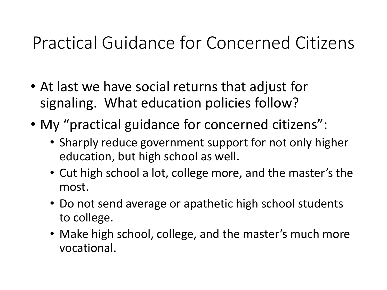#### Practical Guidance for Concerned Citizens

- At last we have social returns that adjust for signaling. What education policies follow?
- My "practical guidance for concerned citizens":
	- Sharply reduce government support for not only higher education, but high school as well.
	- Cut high school a lot, college more, and the master's the most.
	- Do not send average or apathetic high school students to college.
	- Make high school, college, and the master's much more vocational.